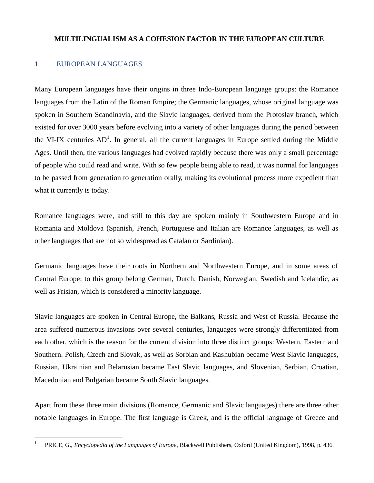# **MULTILINGUALISM AS A COHESION FACTOR IN THE EUROPEAN CULTURE**

## 1. EUROPEAN LANGUAGES

 $\overline{a}$ 

Many European languages have their origins in three Indo-European language groups: the Romance languages from the Latin of the Roman Empire; the Germanic languages, whose original language was spoken in Southern Scandinavia, and the Slavic languages, derived from the Protoslav branch, which existed for over 3000 years before evolving into a variety of other languages during the period between the VI-IX centuries  $AD^1$ . In general, all the current languages in Europe settled during the Middle Ages. Until then, the various languages had evolved rapidly because there was only a small percentage of people who could read and write. With so few people being able to read, it was normal for languages to be passed from generation to generation orally, making its evolutional process more expedient than what it currently is today.

Romance languages were, and still to this day are spoken mainly in Southwestern Europe and in Romania and Moldova (Spanish, French, Portuguese and Italian are Romance languages, as well as other languages that are not so widespread as Catalan or Sardinian).

Germanic languages have their roots in Northern and Northwestern Europe, and in some areas of Central Europe; to this group belong German, Dutch, Danish, Norwegian, Swedish and Icelandic, as well as Frisian, which is considered a minority language.

Slavic languages are spoken in Central Europe, the Balkans, Russia and West of Russia. Because the area suffered numerous invasions over several centuries, languages were strongly differentiated from each other, which is the reason for the current division into three distinct groups: Western, Eastern and Southern. Polish, Czech and Slovak, as well as Sorbian and Kashubian became West Slavic languages, Russian, Ukrainian and Belarusian became East Slavic languages, and Slovenian, Serbian, Croatian, Macedonian and Bulgarian became South Slavic languages.

Apart from these three main divisions (Romance, Germanic and Slavic languages) there are three other notable languages in Europe. The first language is Greek, and is the official language of Greece and

<sup>1</sup> PRICE, G., *Encyclopedia of the Languages of Europe*, Blackwell Publishers, Oxford (United Kingdom), 1998, p. 436.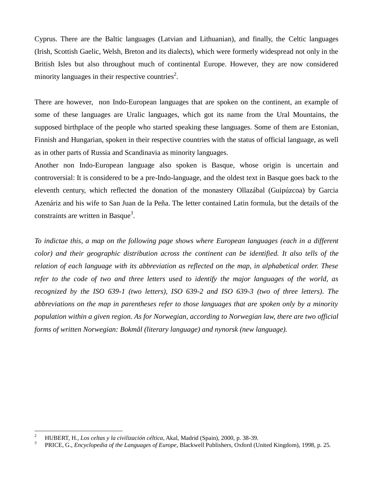Cyprus. There are the Baltic languages (Latvian and Lithuanian), and finally, the Celtic languages (Irish, Scottish Gaelic, Welsh, Breton and its dialects), which were formerly widespread not only in the British Isles but also throughout much of continental Europe. However, they are now considered minority languages in their respective countries<sup>2</sup>.

There are however, non Indo-European languages that are spoken on the continent, an example of some of these languages are Uralic languages, which got its name from the Ural Mountains, the supposed birthplace of the people who started speaking these languages. Some of them are Estonian, Finnish and Hungarian, spoken in their respective countries with the status of official language, as well as in other parts of Russia and Scandinavia as minority languages.

Another non Indo-European language also spoken is Basque, whose origin is uncertain and controversial: It is considered to be a pre-Indo-language, and the oldest text in Basque goes back to the eleventh century, which reflected the donation of the monastery Ollazábal (Guipúzcoa) by Garcia Azenáriz and his wife to San Juan de la Peña. The letter contained Latin formula, but the details of the constraints are written in Basque<sup>3</sup>.

*To indictae this, a map on the following page shows where European languages (each in a different color) and their geographic distribution across the continent can be identified. It also tells of the relation of each language with its abbreviation as reflected on the map, in alphabetical order. These refer to the code of two and three letters used to identify the major languages of the world, as recognized by the ISO 639-1 (two letters), ISO 639-2 and ISO 639-3 (two of three letters). The abbreviations on the map in parentheses refer to those languages that are spoken only by a minority population within a given region. As for Norwegian, according to Norwegian law, there are two official forms of written Norwegian: Bokmål (literary language) and nynorsk (new language).*

<sup>2</sup> HUBERT, H., *Los celtas y la civilización céltica*, Akal, Madrid (Spain), 2000, p. 38-39.

<sup>3</sup> PRICE, G., *Encyclopedia of the Languages of Europe*, Blackwell Publishers, Oxford (United Kingdom), 1998, p. 25.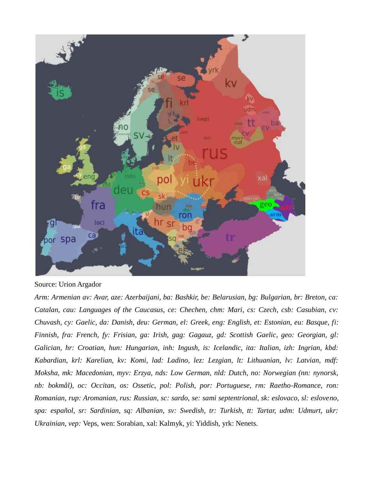

Source: Urion Argador

*Arm: Armenian av: Avar, aze: Azerbaijani, ba: Bashkir, be: Belarusian, bg: Bulgarian, br: Breton, ca: Catalan, cau: Languages of the Caucasus, ce: Chechen, chm: Mari, cs: Czech, csb: Casubian, cv: Chuvash, cy: Gaelic, da: Danish, deu: German, el: Greek, eng: English, et: Estonian, eu: Basque, fi: Finnish, fra: French, fy: Frisian, ga: Irish, gag: Gagauz, gd: Scottish Gaelic, geo: Georgian, gl: Galician, hr: Croatian, hun: Hungarian, inh: Ingush, is: Icelandic, ita: Italian, izh: Ingrian, kbd: Kabardian, krl: Karelian, kv: Komi, lad: Ladino, lez: Lezgian, lt: Lithuanian, lv: Latvian, mdf: Moksha, mk: Macedonian, myv: Erzya, nds: Low German, nld: Dutch, no: Norwegian (nn: nynorsk, nb: bokmål), oc: Occitan, os: Ossetic, pol: Polish, por: Portuguese, rm: Raetho-Romance, ron: Romanian, rup: Aromanian, rus: Russian, sc: sardo, se: sami septentrional, sk: eslovaco, sl: esloveno, spa: español, sr: Sardinian, sq: Albanian, sv: Swedish, tr: Turkish, tt: Tartar, udm: Udmurt, ukr: Ukrainian, vep:* Veps, wen: Sorabian, xal: Kalmyk, yi: Yiddish, yrk: Nenets.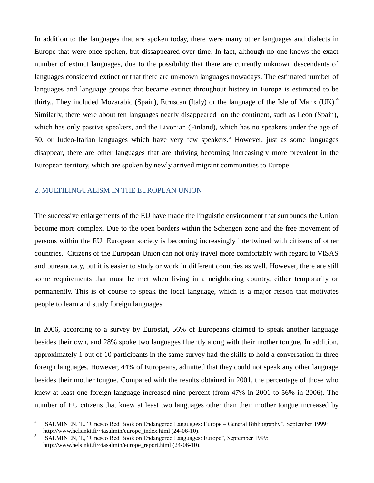In addition to the languages that are spoken today, there were many other languages and dialects in Europe that were once spoken, but dissappeared over time. In fact, although no one knows the exact number of extinct languages, due to the possibility that there are currently unknown descendants of languages considered extinct or that there are unknown languages nowadays. The estimated number of languages and language groups that became extinct throughout history in Europe is estimated to be thirty., They included Mozarabic (Spain), Etruscan (Italy) or the language of the Isle of Manx (UK). Similarly, there were about ten languages nearly disappeared on the continent, such as León (Spain), which has only passive speakers, and the Livonian (Finland), which has no speakers under the age of 50, or Judeo-Italian languages which have very few speakers. <sup>5</sup> However, just as some languages disappear, there are other languages that are thriving becoming increasingly more prevalent in the European territory, which are spoken by newly arrived migrant communities to Europe.

#### 2. MULTILINGUALISM IN THE EUROPEAN UNION

The successive enlargements of the EU have made the linguistic environment that surrounds the Union become more complex. Due to the open borders within the Schengen zone and the free movement of persons within the EU, European society is becoming increasingly intertwined with citizens of other countries. Citizens of the European Union can not only travel more comfortably with regard to VISAS and bureaucracy, but it is easier to study or work in different countries as well. However, there are still some requirements that must be met when living in a neighboring country, either temporarily or permanently. This is of course to speak the local language, which is a major reason that motivates people to learn and study foreign languages.

In 2006, according to a survey by Eurostat, 56% of Europeans claimed to speak another language besides their own, and 28% spoke two languages fluently along with their mother tongue. In addition, approximately 1 out of 10 participants in the same survey had the skills to hold a conversation in three foreign languages. However, 44% of Europeans, admitted that they could not speak any other language besides their mother tongue. Compared with the results obtained in 2001, the percentage of those who knew at least one foreign language increased nine percent (from 47% in 2001 to 56% in 2006). The number of EU citizens that knew at least two languages other than their mother tongue increased by

<sup>4</sup> SALMINEN, T., "Unesco Red Book on Endangered Languages: Europe – General Bibliography", September 1999: http://www.helsinki.fi/~tasalmin/europe\_index.html (24-06-10).

<sup>5</sup> SALMINEN, T., "Unesco Red Book on Endangered Languages: Europe", September 1999: http://www.helsinki.fi/~tasalmin/europe\_report.html (24-06-10).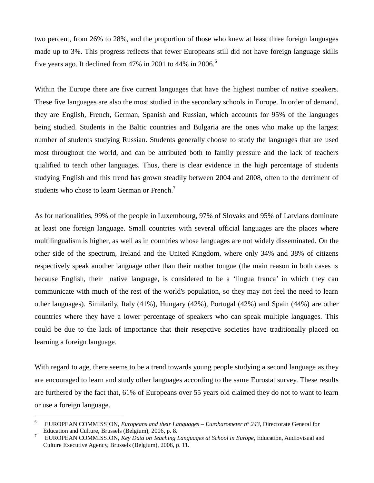two percent, from 26% to 28%, and the proportion of those who knew at least three foreign languages made up to 3%. This progress reflects that fewer Europeans still did not have foreign language skills five years ago. It declined from 47% in 2001 to 44% in 2006.<sup>6</sup>

Within the Europe there are five current languages that have the highest number of native speakers. These five languages are also the most studied in the secondary schools in Europe. In order of demand, they are English, French, German, Spanish and Russian, which accounts for 95% of the languages being studied. Students in the Baltic countries and Bulgaria are the ones who make up the largest number of students studying Russian. Students generally choose to study the languages that are used most throughout the world, and can be attributed both to family pressure and the lack of teachers qualified to teach other languages. Thus, there is clear evidence in the high percentage of students studying English and this trend has grown steadily between 2004 and 2008, often to the detriment of students who chose to learn German or French.<sup>7</sup>

As for nationalities, 99% of the people in Luxembourg, 97% of Slovaks and 95% of Latvians dominate at least one foreign language. Small countries with several official languages are the places where multilingualism is higher, as well as in countries whose languages are not widely disseminated. On the other side of the spectrum, Ireland and the United Kingdom, where only 34% and 38% of citizens respectively speak another language other than their mother tongue (the main reason in both cases is because English, their native language, is considered to be a "lingua franca" in which they can communicate with much of the rest of the world's population, so they may not feel the need to learn other languages). Similarily, Italy (41%), Hungary (42%), Portugal (42%) and Spain (44%) are other countries where they have a lower percentage of speakers who can speak multiple languages. This could be due to the lack of importance that their resepctive societies have traditionally placed on learning a foreign language.

With regard to age, there seems to be a trend towards young people studying a second language as they are encouraged to learn and study other languages according to the same Eurostat survey. These results are furthered by the fact that, 61% of Europeans over 55 years old claimed they do not to want to learn or use a foreign language.

<sup>6</sup> EUROPEAN COMMISSION, *Europeans and their Languages – Eurobarometer nº 243*, Directorate General for Education and Culture, Brussels (Belgium), 2006, p. 8.

<sup>7</sup> EUROPEAN COMMISSION, *Key Data on Teaching Languages at School in Europe*, Education, Audiovisual and Culture Executive Agency, Brussels (Belgium), 2008, p. 11.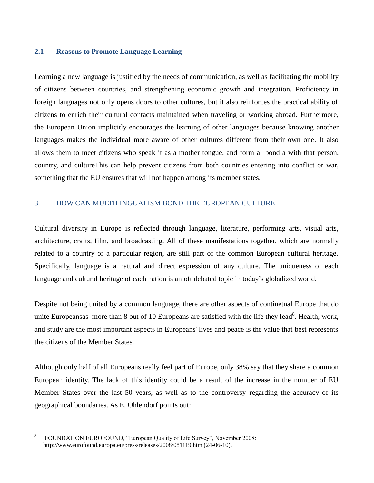#### **2.1 Reasons to Promote Language Learning**

Learning a new language is justified by the needs of communication, as well as facilitating the mobility of citizens between countries, and strengthening economic growth and integration. Proficiency in foreign languages not only opens doors to other cultures, but it also reinforces the practical ability of citizens to enrich their cultural contacts maintained when traveling or working abroad. Furthermore, the European Union implicitly encourages the learning of other languages because knowing another languages makes the individual more aware of other cultures different from their own one. It also allows them to meet citizens who speak it as a mother tongue, and form a bond a with that person, country, and cultureThis can help prevent citizens from both countries entering into conflict or war, something that the EU ensures that will not happen among its member states.

## 3. HOW CAN MULTILINGUALISM BOND THE EUROPEAN CULTURE

Cultural diversity in Europe is reflected through language, literature, performing arts, visual arts, architecture, crafts, film, and broadcasting. All of these manifestations together, which are normally related to a country or a particular region, are still part of the common European cultural heritage. Specifically, language is a natural and direct expression of any culture. The uniqueness of each language and cultural heritage of each nation is an oft debated topic in today"s globalized world.

Despite not being united by a common language, there are other aspects of continetnal Europe that do unite Europeansas more than 8 out of 10 Europeans are satisfied with the life they lead<sup>8</sup>. Health, work, and study are the most important aspects in Europeans' lives and peace is the value that best represents the citizens of the Member States.

Although only half of all Europeans really feel part of Europe, only 38% say that they share a common European identity. The lack of this identity could be a result of the increase in the number of EU Member States over the last 50 years, as well as to the controversy regarding the accuracy of its geographical boundaries. As E. Ohlendorf points out:

<sup>8</sup> FOUNDATION EUROFOUND, "European Quality of Life Survey", November 2008: http://www.eurofound.europa.eu/press/releases/2008/081119.htm (24-06-10).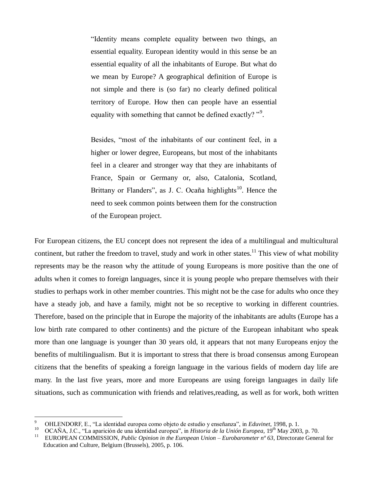"Identity means complete equality between two things, an essential equality. European identity would in this sense be an essential equality of all the inhabitants of Europe. But what do we mean by Europe? A geographical definition of Europe is not simple and there is (so far) no clearly defined political territory of Europe. How then can people have an essential equality with something that cannot be defined exactly? "<sup>9</sup>.

Besides, "most of the inhabitants of our continent feel, in a higher or lower degree, Europeans, but most of the inhabitants feel in a clearer and stronger way that they are inhabitants of France, Spain or Germany or, also, Catalonia, Scotland, Brittany or Flanders", as J. C. Ocaña highlights<sup>10</sup>. Hence the need to seek common points between them for the construction of the European project.

For European citizens, the EU concept does not represent the idea of a multilingual and multicultural continent, but rather the freedom to travel, study and work in other states.<sup>11</sup> This view of what mobility represents may be the reason why the attitude of young Europeans is more positive than the one of adults when it comes to foreign languages, since it is young people who prepare themselves with their studies to perhaps work in other member countries. This might not be the case for adults who once they have a steady job, and have a family, might not be so receptive to working in different countries. Therefore, based on the principle that in Europe the majority of the inhabitants are adults (Europe has a low birth rate compared to other continents) and the picture of the European inhabitant who speak more than one language is younger than 30 years old, it appears that not many Europeans enjoy the benefits of multilingualism. But it is important to stress that there is broad consensus among European citizens that the benefits of speaking a foreign language in the various fields of modern day life are many. In the last five years, more and more Europeans are using foreign languages in daily life situations, such as communication with friends and relatives,reading, as well as for work, both written

<sup>9</sup> OHLENDORF, E., "La identidad europea como objeto de estudio y enseñanza", in *Eduvinet*, 1998, p. 1.

<sup>&</sup>lt;sup>10</sup> OCAÑA, J.C., "La aparición de una identidad europea", in *Historia de la Unión Europea*, 19<sup>th</sup> May 2003, p. 70.<br><sup>11</sup> EUROPEAN COMMISSION, *Public Opinion in the European Union – Europarmeter nº 63*. Directorate Gene

<sup>11</sup> EUROPEAN COMMISSION, *Public Opinion in the European Union – Eurobarometer nº 63*, Directorate General for Education and Culture, Belgium (Brussels), 2005, p. 106.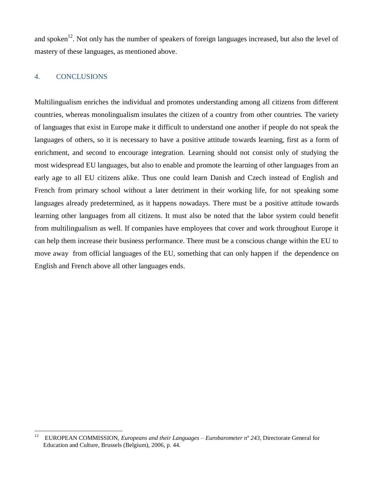and spoken<sup>12</sup>. Not only has the number of speakers of foreign languages increased, but also the level of mastery of these languages, as mentioned above.

### 4. CONCLUSIONS

Multilingualism enriches the individual and promotes understanding among all citizens from different countries, whereas monolingualism insulates the citizen of a country from other countries. The variety of languages that exist in Europe make it difficult to understand one another if people do not speak the languages of others, so it is necessary to have a positive attitude towards learning, first as a form of enrichment, and second to encourage integration. Learning should not consist only of studying the most widespread EU languages, but also to enable and promote the learning of other languages from an early age to all EU citizens alike. Thus one could learn Danish and Czech instead of English and French from primary school without a later detriment in their working life, for not speaking some languages already predetermined, as it happens nowadays. There must be a positive attitude towards learning other languages from all citizens. It must also be noted that the labor system could benefit from multilingualism as well. If companies have employees that cover and work throughout Europe it can help them increase their business performance. There must be a conscious change within the EU to move away from official languages of the EU, something that can only happen if the dependence on English and French above all other languages ends.

<sup>12</sup> <sup>12</sup> EUROPEAN COMMISSION, *Europeans and their Languages – Eurobarometer nº 243*, Directorate General for Education and Culture, Brussels (Belgium), 2006, p. 44.